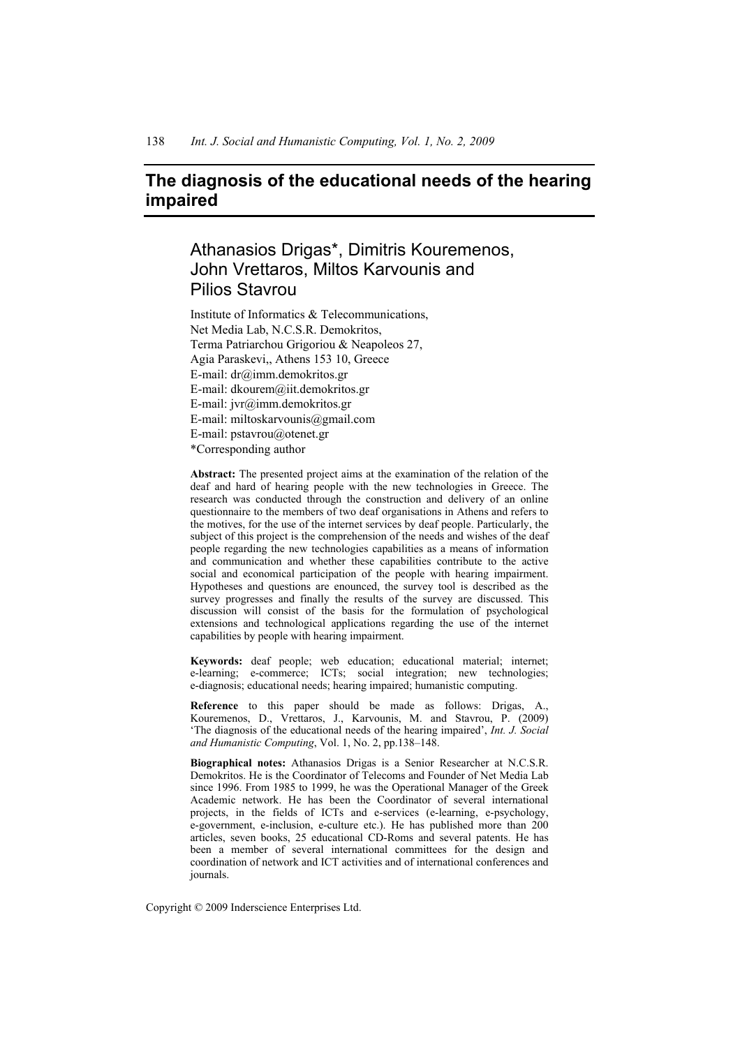# **The diagnosis of the educational needs of the hearing impaired**

# Athanasios Drigas\*, Dimitris Kouremenos, John Vrettaros, Miltos Karvounis and Pilios Stavrou

Institute of Informatics & Telecommunications, Net Media Lab, N.C.S.R. Demokritos, Terma Patriarchou Grigoriou & Neapoleos 27, Agia Paraskevi,, Athens 153 10, Greece E-mail: dr@imm.demokritos.gr E-mail: dkourem@iit.demokritos.gr E-mail: jvr@imm.demokritos.gr E-mail: miltoskarvounis@gmail.com E-mail: pstavrou@otenet.gr \*Corresponding author

**Abstract:** The presented project aims at the examination of the relation of the deaf and hard of hearing people with the new technologies in Greece. The research was conducted through the construction and delivery of an online questionnaire to the members of two deaf organisations in Athens and refers to the motives, for the use of the internet services by deaf people. Particularly, the subject of this project is the comprehension of the needs and wishes of the deaf people regarding the new technologies capabilities as a means of information and communication and whether these capabilities contribute to the active social and economical participation of the people with hearing impairment. Hypotheses and questions are enounced, the survey tool is described as the survey progresses and finally the results of the survey are discussed. This discussion will consist of the basis for the formulation of psychological extensions and technological applications regarding the use of the internet capabilities by people with hearing impairment.

**Keywords:** deaf people; web education; educational material; internet; e-learning; e-commerce; ICTs; social integration; new technologies; e-diagnosis; educational needs; hearing impaired; humanistic computing.

**Reference** to this paper should be made as follows: Drigas, A., Kouremenos, D., Vrettaros, J., Karvounis, M. and Stavrou, P. (2009) 'The diagnosis of the educational needs of the hearing impaired', *Int. J. Social and Humanistic Computing*, Vol. 1, No. 2, pp.138–148.

**Biographical notes:** Athanasios Drigas is a Senior Researcher at N.C.S.R. Demokritos. He is the Coordinator of Telecoms and Founder of Net Media Lab since 1996. From 1985 to 1999, he was the Operational Manager of the Greek Academic network. He has been the Coordinator of several international projects, in the fields of ICTs and e-services (e-learning, e-psychology, e-government, e-inclusion, e-culture etc.). He has published more than 200 articles, seven books, 25 educational CD-Roms and several patents. He has been a member of several international committees for the design and coordination of network and ICT activities and of international conferences and journals.

Copyright © 2009 Inderscience Enterprises Ltd.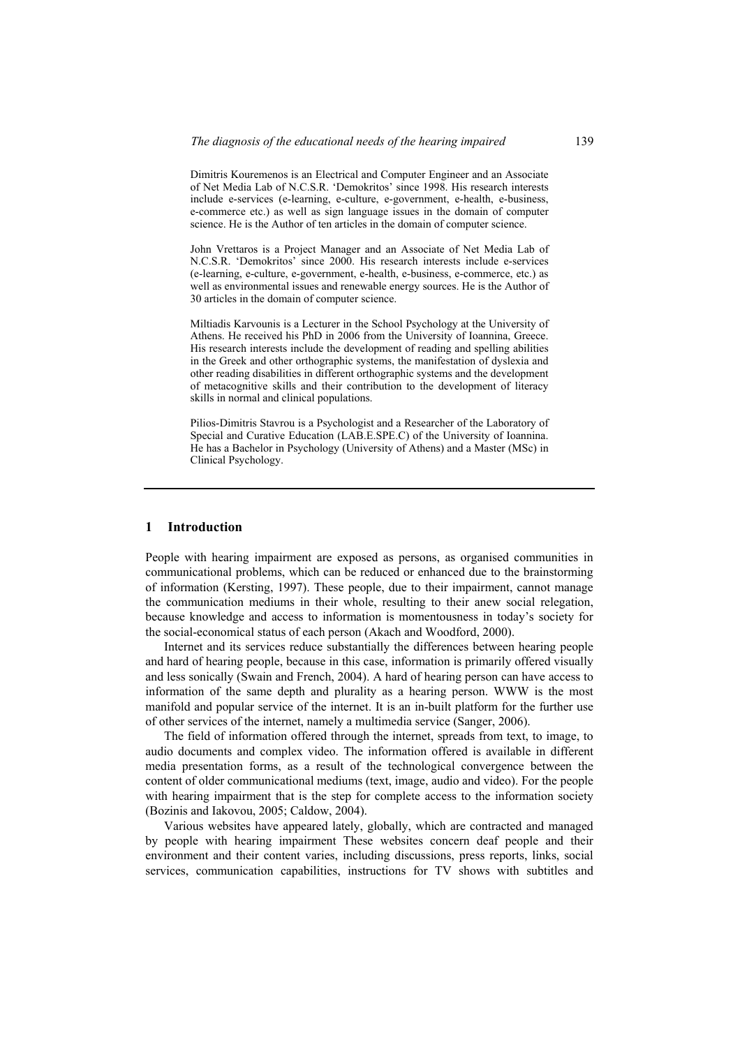Dimitris Kouremenos is an Electrical and Computer Engineer and an Associate of Net Media Lab of N.C.S.R. 'Demokritos' since 1998. His research interests include e-services (e-learning, e-culture, e-government, e-health, e-business, e-commerce etc.) as well as sign language issues in the domain of computer science. He is the Author of ten articles in the domain of computer science.

John Vrettaros is a Project Manager and an Associate of Net Media Lab of N.C.S.R. 'Demokritos' since 2000. His research interests include e-services (e-learning, e-culture, e-government, e-health, e-business, e-commerce, etc.) as well as environmental issues and renewable energy sources. He is the Author of 30 articles in the domain of computer science.

Miltiadis Karvounis is a Lecturer in the School Psychology at the University of Athens. He received his PhD in 2006 from the University of Ioannina, Greece. His research interests include the development of reading and spelling abilities in the Greek and other orthographic systems, the manifestation of dyslexia and other reading disabilities in different orthographic systems and the development of metacognitive skills and their contribution to the development of literacy skills in normal and clinical populations.

Pilios-Dimitris Stavrou is a Psychologist and a Researcher of the Laboratory of Special and Curative Education (LAB.E.SPE.C) of the University of Ioannina. He has a Bachelor in Psychology (University of Athens) and a Master (MSc) in Clinical Psychology.

# **1 Introduction**

People with hearing impairment are exposed as persons, as organised communities in communicational problems, which can be reduced or enhanced due to the brainstorming of information (Kersting, 1997). These people, due to their impairment, cannot manage the communication mediums in their whole, resulting to their anew social relegation, because knowledge and access to information is momentousness in today's society for the social-economical status of each person (Akach and Woodford, 2000).

Internet and its services reduce substantially the differences between hearing people and hard of hearing people, because in this case, information is primarily offered visually and less sonically (Swain and French, 2004). A hard of hearing person can have access to information of the same depth and plurality as a hearing person. WWW is the most manifold and popular service of the internet. It is an in-built platform for the further use of other services of the internet, namely a multimedia service (Sanger, 2006).

The field of information offered through the internet, spreads from text, to image, to audio documents and complex video. The information offered is available in different media presentation forms, as a result of the technological convergence between the content of older communicational mediums (text, image, audio and video). For the people with hearing impairment that is the step for complete access to the information society (Bozinis and Iakovou, 2005; Caldow, 2004).

Various websites have appeared lately, globally, which are contracted and managed by people with hearing impairment These websites concern deaf people and their environment and their content varies, including discussions, press reports, links, social services, communication capabilities, instructions for TV shows with subtitles and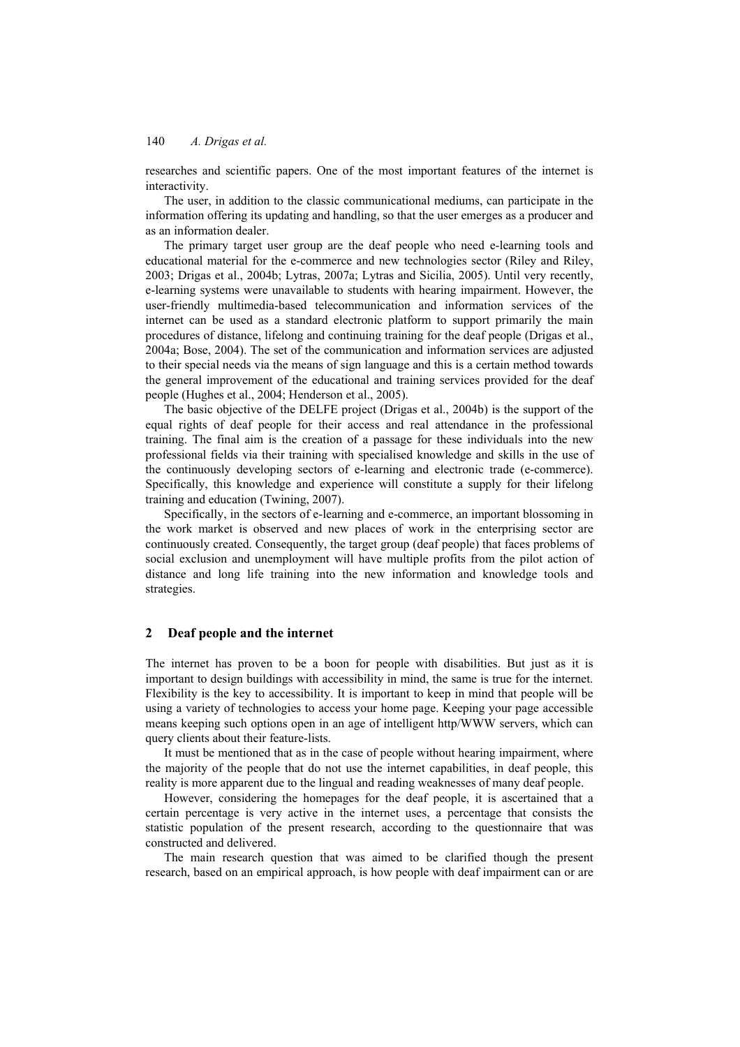researches and scientific papers. One of the most important features of the internet is interactivity.

The user, in addition to the classic communicational mediums, can participate in the information offering its updating and handling, so that the user emerges as a producer and as an information dealer.

The primary target user group are the deaf people who need e-learning tools and educational material for the e-commerce and new technologies sector (Riley and Riley, 2003; Drigas et al., 2004b; Lytras, 2007a; Lytras and Sicilia, 2005). Until very recently, e-learning systems were unavailable to students with hearing impairment. However, the user-friendly multimedia-based telecommunication and information services of the internet can be used as a standard electronic platform to support primarily the main procedures of distance, lifelong and continuing training for the deaf people (Drigas et al., 2004a; Bose, 2004). The set of the communication and information services are adjusted to their special needs via the means of sign language and this is a certain method towards the general improvement of the educational and training services provided for the deaf people (Hughes et al., 2004; Henderson et al., 2005).

The basic objective of the DELFE project (Drigas et al., 2004b) is the support of the equal rights of deaf people for their access and real attendance in the professional training. The final aim is the creation of a passage for these individuals into the new professional fields via their training with specialised knowledge and skills in the use of the continuously developing sectors of e-learning and electronic trade (e-commerce). Specifically, this knowledge and experience will constitute a supply for their lifelong training and education (Twining, 2007).

Specifically, in the sectors of e-learning and e-commerce, an important blossoming in the work market is observed and new places of work in the enterprising sector are continuously created. Consequently, the target group (deaf people) that faces problems of social exclusion and unemployment will have multiple profits from the pilot action of distance and long life training into the new information and knowledge tools and strategies.

# **2 Deaf people and the internet**

The internet has proven to be a boon for people with disabilities. But just as it is important to design buildings with accessibility in mind, the same is true for the internet. Flexibility is the key to accessibility. It is important to keep in mind that people will be using a variety of technologies to access your home page. Keeping your page accessible means keeping such options open in an age of intelligent http/WWW servers, which can query clients about their feature-lists.

It must be mentioned that as in the case of people without hearing impairment, where the majority of the people that do not use the internet capabilities, in deaf people, this reality is more apparent due to the lingual and reading weaknesses of many deaf people.

However, considering the homepages for the deaf people, it is ascertained that a certain percentage is very active in the internet uses, a percentage that consists the statistic population of the present research, according to the questionnaire that was constructed and delivered.

The main research question that was aimed to be clarified though the present research, based on an empirical approach, is how people with deaf impairment can or are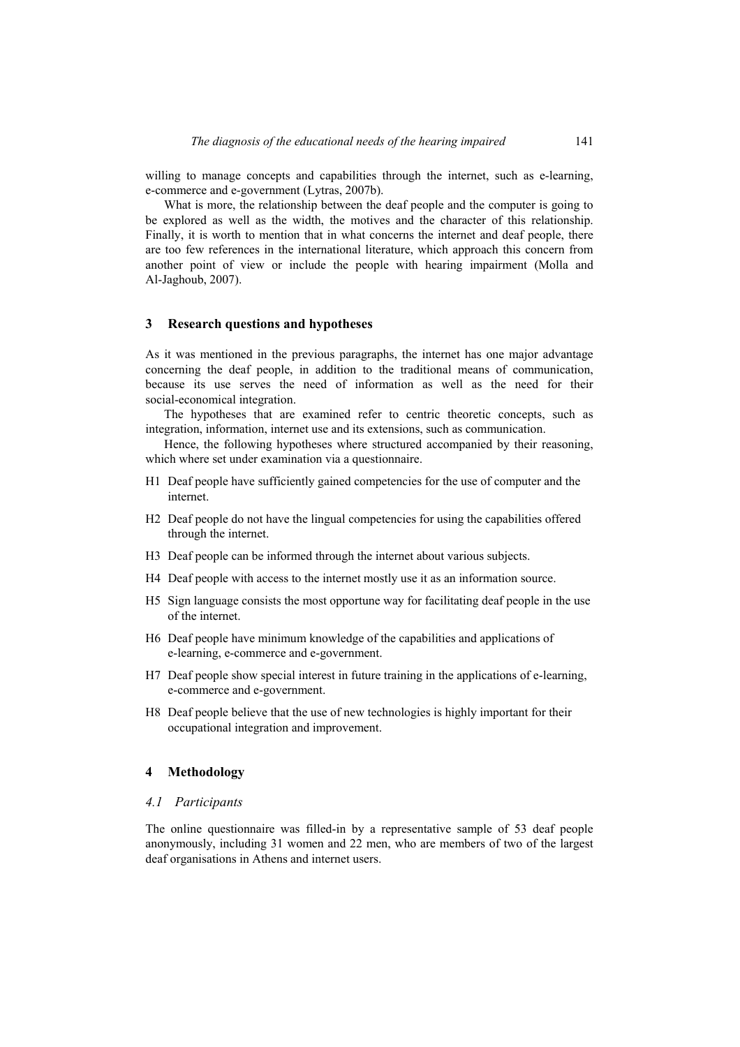willing to manage concepts and capabilities through the internet, such as e-learning, e-commerce and e-government (Lytras, 2007b).

What is more, the relationship between the deaf people and the computer is going to be explored as well as the width, the motives and the character of this relationship. Finally, it is worth to mention that in what concerns the internet and deaf people, there are too few references in the international literature, which approach this concern from another point of view or include the people with hearing impairment (Molla and Al-Jaghoub, 2007).

## **3 Research questions and hypotheses**

As it was mentioned in the previous paragraphs, the internet has one major advantage concerning the deaf people, in addition to the traditional means of communication, because its use serves the need of information as well as the need for their social-economical integration.

The hypotheses that are examined refer to centric theoretic concepts, such as integration, information, internet use and its extensions, such as communication.

Hence, the following hypotheses where structured accompanied by their reasoning, which where set under examination via a questionnaire.

- H1 Deaf people have sufficiently gained competencies for the use of computer and the internet.
- H2 Deaf people do not have the lingual competencies for using the capabilities offered through the internet.
- H3 Deaf people can be informed through the internet about various subjects.
- H4 Deaf people with access to the internet mostly use it as an information source.
- H5 Sign language consists the most opportune way for facilitating deaf people in the use of the internet.
- H6 Deaf people have minimum knowledge of the capabilities and applications of e-learning, e-commerce and e-government.
- H7 Deaf people show special interest in future training in the applications of e-learning, e-commerce and e-government.
- H8 Deaf people believe that the use of new technologies is highly important for their occupational integration and improvement.

## **4 Methodology**

#### *4.1 Participants*

The online questionnaire was filled-in by a representative sample of 53 deaf people anonymously, including 31 women and 22 men, who are members of two of the largest deaf organisations in Athens and internet users.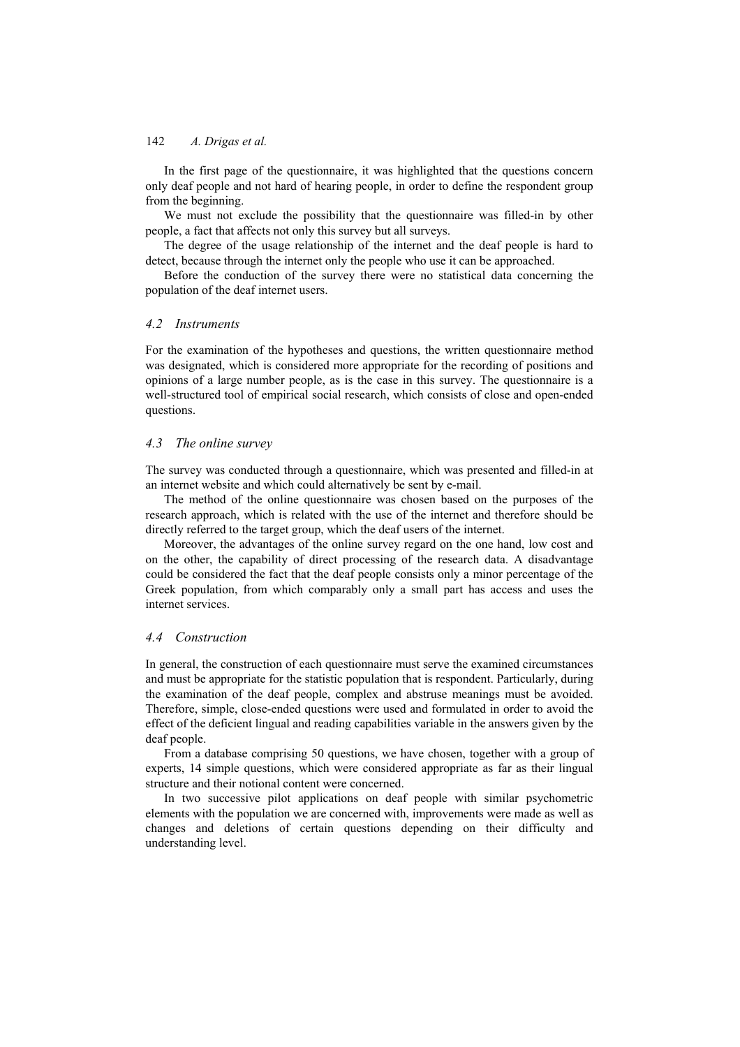In the first page of the questionnaire, it was highlighted that the questions concern only deaf people and not hard of hearing people, in order to define the respondent group from the beginning.

We must not exclude the possibility that the questionnaire was filled-in by other people, a fact that affects not only this survey but all surveys.

The degree of the usage relationship of the internet and the deaf people is hard to detect, because through the internet only the people who use it can be approached.

Before the conduction of the survey there were no statistical data concerning the population of the deaf internet users.

#### *4.2 Instruments*

For the examination of the hypotheses and questions, the written questionnaire method was designated, which is considered more appropriate for the recording of positions and opinions of a large number people, as is the case in this survey. The questionnaire is a well-structured tool of empirical social research, which consists of close and open-ended questions.

## *4.3 The online survey*

The survey was conducted through a questionnaire, which was presented and filled-in at an internet website and which could alternatively be sent by e-mail.

The method of the online questionnaire was chosen based on the purposes of the research approach, which is related with the use of the internet and therefore should be directly referred to the target group, which the deaf users of the internet.

Moreover, the advantages of the online survey regard on the one hand, low cost and on the other, the capability of direct processing of the research data. A disadvantage could be considered the fact that the deaf people consists only a minor percentage of the Greek population, from which comparably only a small part has access and uses the internet services.

#### *4.4 Construction*

In general, the construction of each questionnaire must serve the examined circumstances and must be appropriate for the statistic population that is respondent. Particularly, during the examination of the deaf people, complex and abstruse meanings must be avoided. Therefore, simple, close-ended questions were used and formulated in order to avoid the effect of the deficient lingual and reading capabilities variable in the answers given by the deaf people.

From a database comprising 50 questions, we have chosen, together with a group of experts, 14 simple questions, which were considered appropriate as far as their lingual structure and their notional content were concerned.

In two successive pilot applications on deaf people with similar psychometric elements with the population we are concerned with, improvements were made as well as changes and deletions of certain questions depending on their difficulty and understanding level.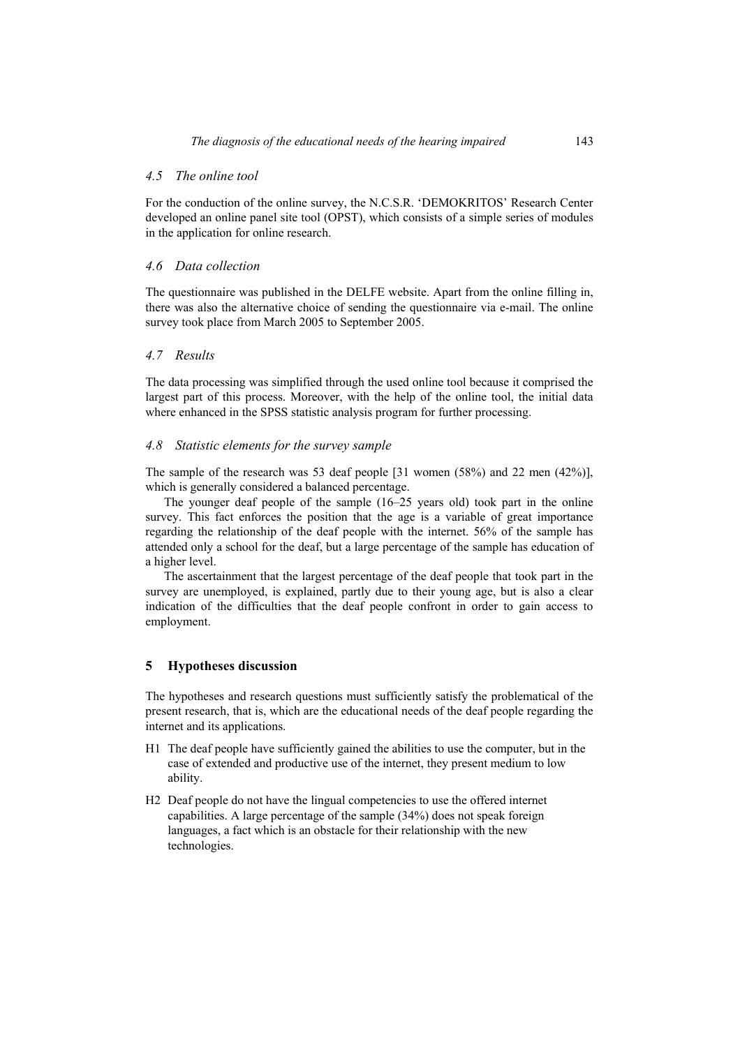# *4.5 The online tool*

For the conduction of the online survey, the N.C.S.R. 'DEMOKRITOS' Research Center developed an online panel site tool (OPST), which consists of a simple series of modules in the application for online research.

# *4.6 Data collection*

The questionnaire was published in the DELFE website. Apart from the online filling in, there was also the alternative choice of sending the questionnaire via e-mail. The online survey took place from March 2005 to September 2005.

#### *4.7 Results*

The data processing was simplified through the used online tool because it comprised the largest part of this process. Moreover, with the help of the online tool, the initial data where enhanced in the SPSS statistic analysis program for further processing.

### *4.8 Statistic elements for the survey sample*

The sample of the research was 53 deaf people [31 women (58%) and 22 men (42%)], which is generally considered a balanced percentage.

The younger deaf people of the sample (16–25 years old) took part in the online survey. This fact enforces the position that the age is a variable of great importance regarding the relationship of the deaf people with the internet. 56% of the sample has attended only a school for the deaf, but a large percentage of the sample has education of a higher level.

The ascertainment that the largest percentage of the deaf people that took part in the survey are unemployed, is explained, partly due to their young age, but is also a clear indication of the difficulties that the deaf people confront in order to gain access to employment.

## **5 Hypotheses discussion**

The hypotheses and research questions must sufficiently satisfy the problematical of the present research, that is, which are the educational needs of the deaf people regarding the internet and its applications.

- H1 The deaf people have sufficiently gained the abilities to use the computer, but in the case of extended and productive use of the internet, they present medium to low ability.
- H2 Deaf people do not have the lingual competencies to use the offered internet capabilities. A large percentage of the sample (34%) does not speak foreign languages, a fact which is an obstacle for their relationship with the new technologies.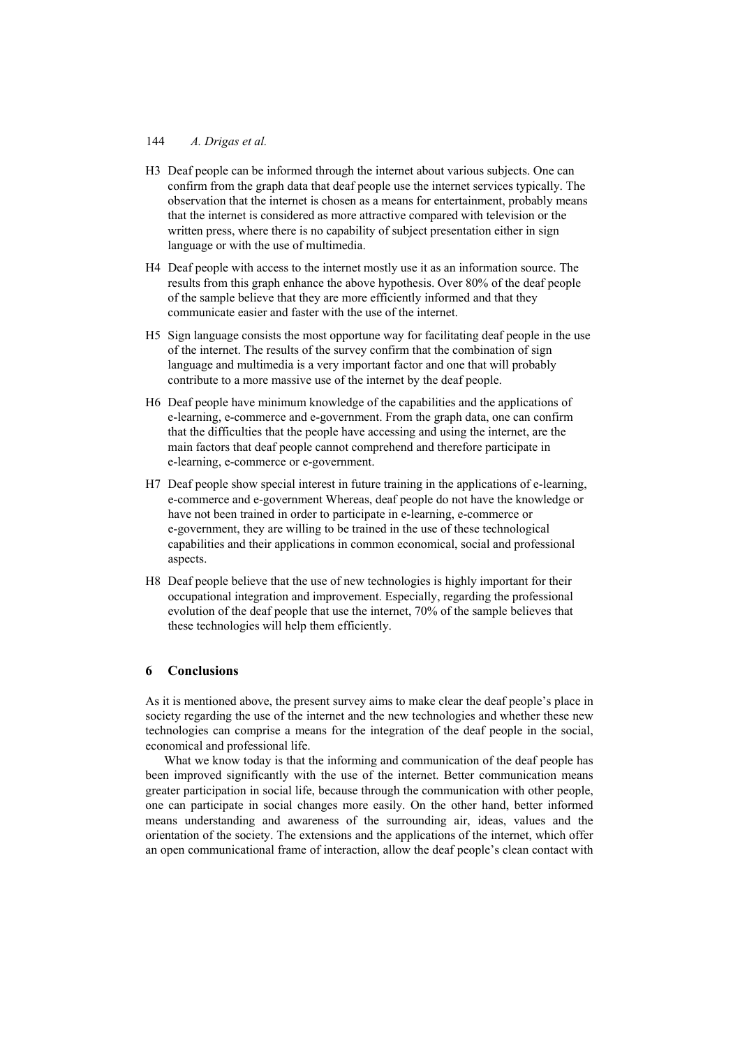- H3 Deaf people can be informed through the internet about various subjects. One can confirm from the graph data that deaf people use the internet services typically. The observation that the internet is chosen as a means for entertainment, probably means that the internet is considered as more attractive compared with television or the written press, where there is no capability of subject presentation either in sign language or with the use of multimedia.
- H4 Deaf people with access to the internet mostly use it as an information source. The results from this graph enhance the above hypothesis. Over 80% of the deaf people of the sample believe that they are more efficiently informed and that they communicate easier and faster with the use of the internet.
- H5 Sign language consists the most opportune way for facilitating deaf people in the use of the internet. The results of the survey confirm that the combination of sign language and multimedia is a very important factor and one that will probably contribute to a more massive use of the internet by the deaf people.
- H6 Deaf people have minimum knowledge of the capabilities and the applications of e-learning, e-commerce and e-government. From the graph data, one can confirm that the difficulties that the people have accessing and using the internet, are the main factors that deaf people cannot comprehend and therefore participate in e-learning, e-commerce or e-government.
- H7 Deaf people show special interest in future training in the applications of e-learning, e-commerce and e-government Whereas, deaf people do not have the knowledge or have not been trained in order to participate in e-learning, e-commerce or e-government, they are willing to be trained in the use of these technological capabilities and their applications in common economical, social and professional aspects.
- H8 Deaf people believe that the use of new technologies is highly important for their occupational integration and improvement. Especially, regarding the professional evolution of the deaf people that use the internet, 70% of the sample believes that these technologies will help them efficiently.

# **6 Conclusions**

As it is mentioned above, the present survey aims to make clear the deaf people's place in society regarding the use of the internet and the new technologies and whether these new technologies can comprise a means for the integration of the deaf people in the social, economical and professional life.

What we know today is that the informing and communication of the deaf people has been improved significantly with the use of the internet. Better communication means greater participation in social life, because through the communication with other people, one can participate in social changes more easily. On the other hand, better informed means understanding and awareness of the surrounding air, ideas, values and the orientation of the society. The extensions and the applications of the internet, which offer an open communicational frame of interaction, allow the deaf people's clean contact with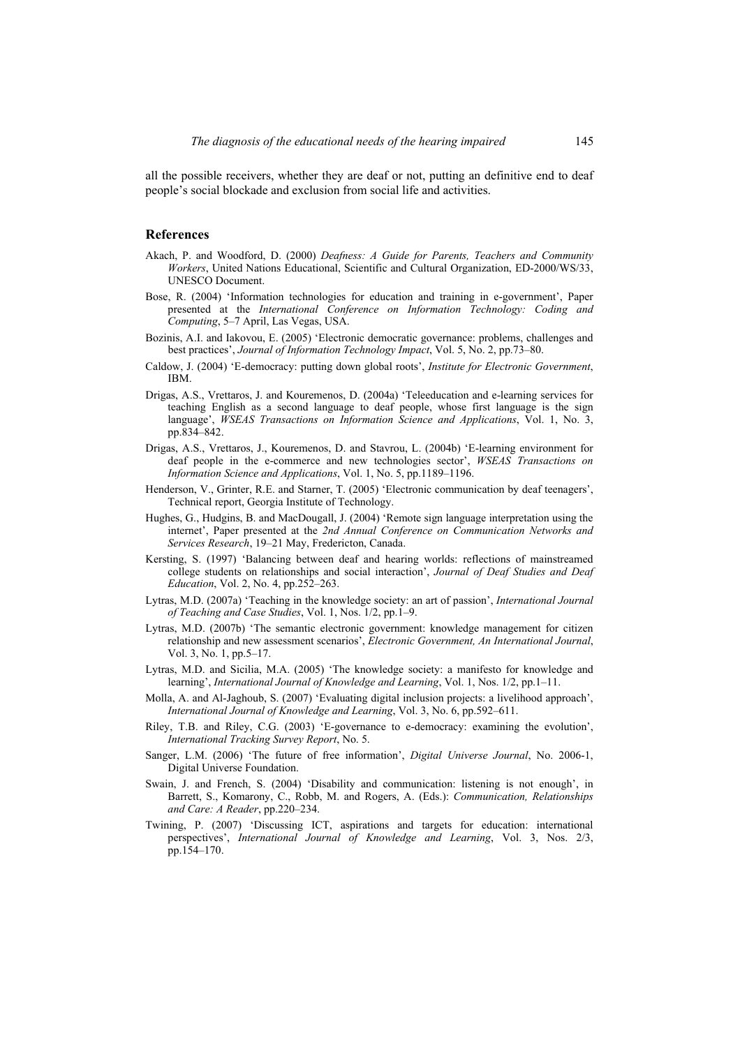all the possible receivers, whether they are deaf or not, putting an definitive end to deaf people's social blockade and exclusion from social life and activities.

#### **References**

- Akach, P. and Woodford, D. (2000) *Deafness: A Guide for Parents, Teachers and Community Workers*, United Nations Educational, Scientific and Cultural Organization, ED-2000/WS/33, UNESCO Document.
- Bose, R. (2004) 'Information technologies for education and training in e-government', Paper presented at the *International Conference on Information Technology: Coding and Computing*, 5–7 April, Las Vegas, USA.
- Bozinis, A.I. and Iakovou, E. (2005) 'Electronic democratic governance: problems, challenges and best practices', *Journal of Information Technology Impact*, Vol. 5, No. 2, pp.73–80.
- Caldow, J. (2004) 'E-democracy: putting down global roots', *Institute for Electronic Government*, IBM.
- Drigas, A.S., Vrettaros, J. and Kouremenos, D. (2004a) 'Teleeducation and e-learning services for teaching English as a second language to deaf people, whose first language is the sign language', *WSEAS Transactions on Information Science and Applications*, Vol. 1, No. 3, pp.834–842.
- Drigas, A.S., Vrettaros, J., Kouremenos, D. and Stavrou, L. (2004b) 'E-learning environment for deaf people in the e-commerce and new technologies sector', *WSEAS Transactions on Information Science and Applications*, Vol. 1, No. 5, pp.1189–1196.
- Henderson, V., Grinter, R.E. and Starner, T. (2005) 'Electronic communication by deaf teenagers', Technical report, Georgia Institute of Technology.
- Hughes, G., Hudgins, B. and MacDougall, J. (2004) 'Remote sign language interpretation using the internet', Paper presented at the *2nd Annual Conference on Communication Networks and Services Research*, 19–21 May, Fredericton, Canada.
- Kersting, S. (1997) 'Balancing between deaf and hearing worlds: reflections of mainstreamed college students on relationships and social interaction', *Journal of Deaf Studies and Deaf Education*, Vol. 2, No. 4, pp.252–263.
- Lytras, M.D. (2007a) 'Teaching in the knowledge society: an art of passion', *International Journal of Teaching and Case Studies*, Vol. 1, Nos. 1/2, pp.1–9.
- Lytras, M.D. (2007b) 'The semantic electronic government: knowledge management for citizen relationship and new assessment scenarios', *Electronic Government, An International Journal*, Vol. 3, No. 1, pp.5–17.
- Lytras, M.D. and Sicilia, M.A. (2005) 'The knowledge society: a manifesto for knowledge and learning', *International Journal of Knowledge and Learning*, Vol. 1, Nos. 1/2, pp.1–11.
- Molla, A. and Al-Jaghoub, S. (2007) 'Evaluating digital inclusion projects: a livelihood approach', *International Journal of Knowledge and Learning*, Vol. 3, No. 6, pp.592–611.
- Riley, T.B. and Riley, C.G. (2003) 'E-governance to e-democracy: examining the evolution', *International Tracking Survey Report*, No. 5.
- Sanger, L.M. (2006) 'The future of free information', *Digital Universe Journal*, No. 2006-1, Digital Universe Foundation.
- Swain, J. and French, S. (2004) 'Disability and communication: listening is not enough', in Barrett, S., Komarony, C., Robb, M. and Rogers, A. (Eds.): *Communication, Relationships and Care: A Reader*, pp.220–234.
- Twining, P. (2007) 'Discussing ICT, aspirations and targets for education: international perspectives', *International Journal of Knowledge and Learning*, Vol. 3, Nos. 2/3, pp.154–170.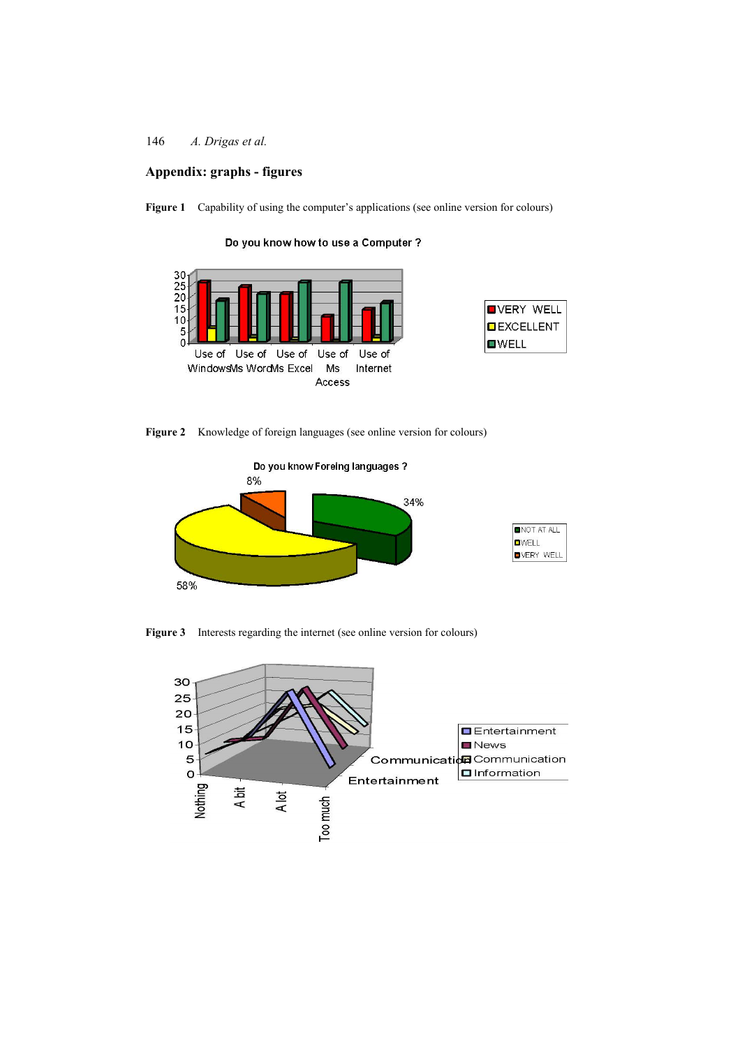# **Appendix: graphs - figures**

Figure 1 Capability of using the computer's applications (see online version for colours)

Do you know how to use a Computer?



Figure 2 Knowledge of foreign languages (see online version for colours)



Figure 3 Interests regarding the internet (see online version for colours)

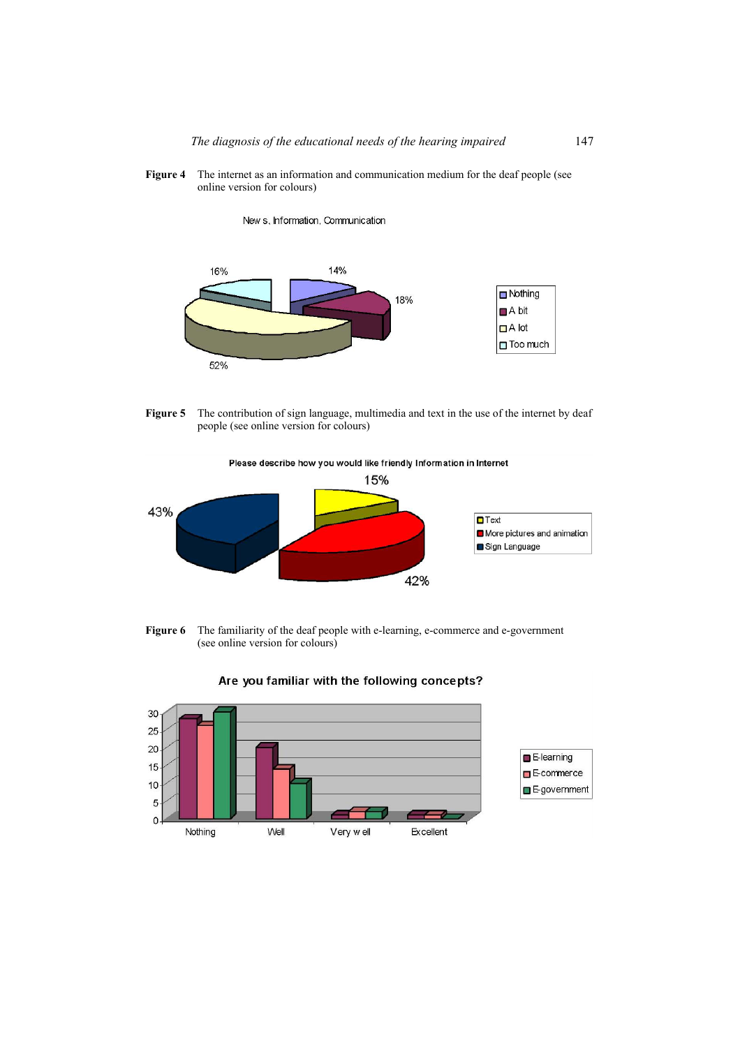**Figure 4** The internet as an information and communication medium for the deaf people (see online version for colours)





**Figure 5** The contribution of sign language, multimedia and text in the use of the internet by deaf people (see online version for colours)



**Figure 6** The familiarity of the deaf people with e-learning, e-commerce and e-government (see online version for colours)



# Are you familiar with the following concepts?